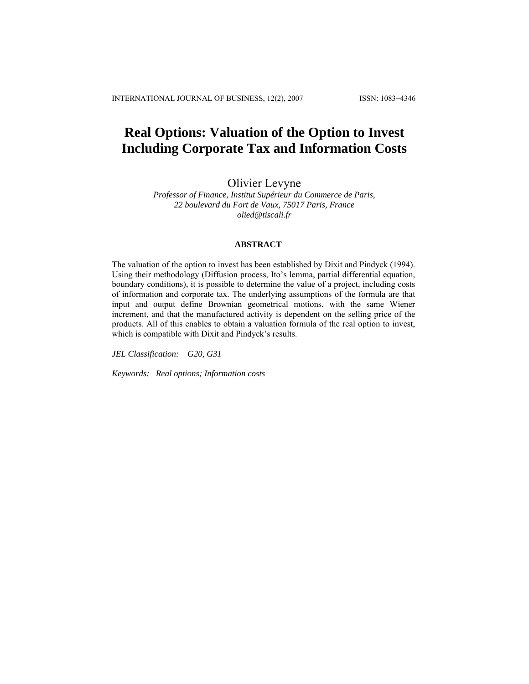# **Real Options: Valuation of the Option to Invest Including Corporate Tax and Information Costs**

Olivier Levyne

*Professor of Finance, Institut Supérieur du Commerce de Paris, 22 boulevard du Fort de Vaux, 75017 Paris, France [olied@tiscali.fr](mailto:olied@tiscali.fr)*

## **ABSTRACT**

The valuation of the option to invest has been established by Dixit and Pindyck (1994). Using their methodology (Diffusion process, Ito's lemma, partial differential equation, boundary conditions), it is possible to determine the value of a project, including costs of information and corporate tax. The underlying assumptions of the formula are that input and output define Brownian geometrical motions, with the same Wiener increment, and that the manufactured activity is dependent on the selling price of the products. All of this enables to obtain a valuation formula of the real option to invest, which is compatible with Dixit and Pindyck's results.

*JEL Classification: G20, G31* 

*Keywords: Real options; Information costs*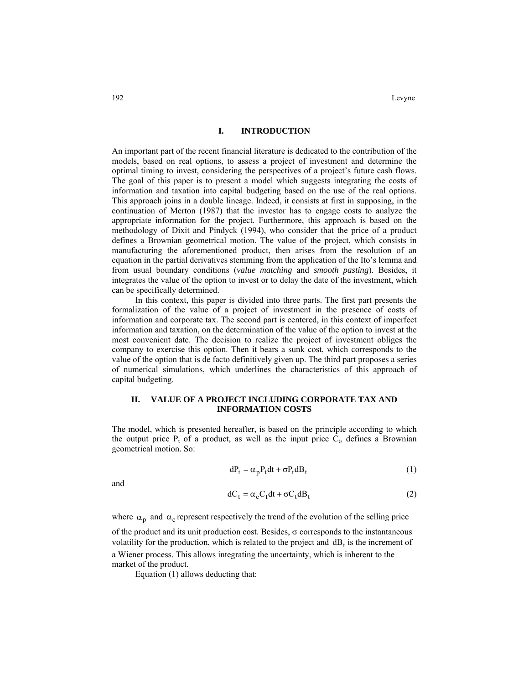# **I. INTRODUCTION**

An important part of the recent financial literature is dedicated to the contribution of the models, based on real options, to assess a project of investment and determine the optimal timing to invest, considering the perspectives of a project's future cash flows. The goal of this paper is to present a model which suggests integrating the costs of information and taxation into capital budgeting based on the use of the real options. This approach joins in a double lineage. Indeed, it consists at first in supposing, in the continuation of Merton (1987) that the investor has to engage costs to analyze the appropriate information for the project. Furthermore, this approach is based on the methodology of Dixit and Pindyck (1994), who consider that the price of a product defines a Brownian geometrical motion. The value of the project, which consists in manufacturing the aforementioned product, then arises from the resolution of an equation in the partial derivatives stemming from the application of the Ito's lemma and from usual boundary conditions (*value matching* and *smooth pasting*). Besides, it integrates the value of the option to invest or to delay the date of the investment, which can be specifically determined.

In this context, this paper is divided into three parts. The first part presents the formalization of the value of a project of investment in the presence of costs of information and corporate tax. The second part is centered, in this context of imperfect information and taxation, on the determination of the value of the option to invest at the most convenient date. The decision to realize the project of investment obliges the company to exercise this option. Then it bears a sunk cost, which corresponds to the value of the option that is de facto definitively given up. The third part proposes a series of numerical simulations, which underlines the characteristics of this approach of capital budgeting.

# **II. VALUE OF A PROJECT INCLUDING CORPORATE TAX AND INFORMATION COSTS**

The model, which is presented hereafter, is based on the principle according to which the output price  $P_t$  of a product, as well as the input price  $C_t$ , defines a Brownian geometrical motion. So:

$$
dP_t = \alpha_p P_t dt + \sigma P_t dB_t
$$
 (1)

and

$$
dC_t = \alpha_c C_t dt + \sigma C_t dB_t
$$
 (2)

where  $\alpha_p$  and  $\alpha_c$  represent respectively the trend of the evolution of the selling price of the product and its unit production cost. Besides,  $\sigma$  corresponds to the instantaneous volatility for the production, which is related to the project and  $dB_t$  is the increment of a Wiener process. This allows integrating the uncertainty, which is inherent to the market of the product.

Equation (1) allows deducting that: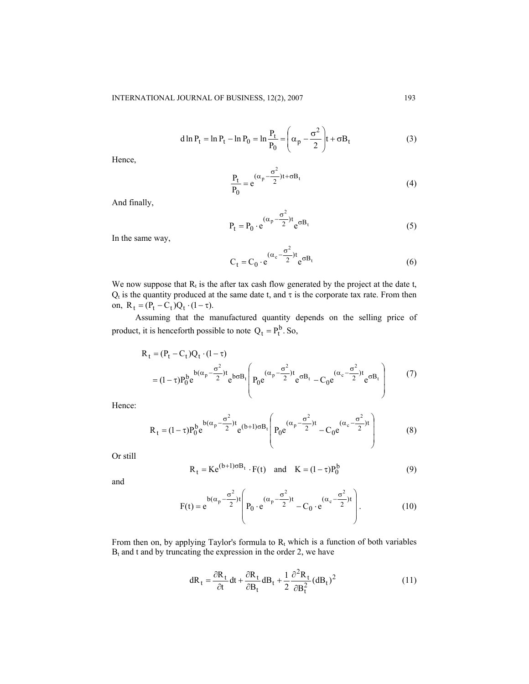d ln P<sub>t</sub> = ln P<sub>t</sub> - ln P<sub>0</sub> = ln 
$$
\frac{P_t}{P_0}
$$
 =  $\left(\alpha_p - \frac{\sigma^2}{2}\right) t + \sigma B_t$  (3)

Hence,

$$
\frac{P_t}{P_0} = e^{(\alpha_p - \frac{\sigma^2}{2})t + \sigma B_t}
$$
\n(4)

And finally,

$$
P_t = P_0 \cdot e^{(\alpha_p - \frac{\sigma^2}{2})t} e^{\sigma B_t}
$$
 (5)

In the same way,

$$
C_t = C_0 \cdot e^{(\alpha_c - \frac{\sigma^2}{2})t} e^{\sigma B_t}
$$
 (6)

We now suppose that  $R_t$  is the after tax cash flow generated by the project at the date t,  $Q_t$  is the quantity produced at the same date t, and  $\tau$  is the corporate tax rate. From then on,  $R_t = (P_t - C_t)Q_t \cdot (1 - \tau)$ .

Assuming that the manufactured quantity depends on the selling price of product, it is henceforth possible to note  $Q_t = P_t^b$ . So,

$$
R_{t} = (P_{t} - C_{t})Q_{t} \cdot (1 - \tau)
$$
  
=  $(1 - \tau)P_{0}^{b}e^{b(\alpha_{p} - \frac{\sigma^{2}}{2})t}e^{b\sigma B_{t}}\left(P_{0}e^{(\alpha_{p} - \frac{\sigma^{2}}{2})t}e^{\sigma B_{t}} - C_{0}e^{(\alpha_{c} - \frac{\sigma^{2}}{2})t}e^{\sigma B_{t}}\right)$  (7)

Hence:

$$
R_{t} = (1 - \tau)P_{0}^{b}e^{b(\alpha_{p} - \frac{\sigma^{2}}{2})t}e^{(b+1)\sigma B_{t}}\left(P_{0}e^{(\alpha_{p} - \frac{\sigma^{2}}{2})t} - C_{0}e^{(\alpha_{c} - \frac{\sigma^{2}}{2})t}\right)
$$
(8)

Or still

$$
R_t = Ke^{(b+1)\sigma B_t} \cdot F(t)
$$
 and  $K = (1-\tau)P_0^b$  (9)

and

$$
F(t) = e^{b(\alpha_p - \frac{\sigma^2}{2})t} \left( P_0 \cdot e^{(\alpha_p - \frac{\sigma^2}{2})t} - C_0 \cdot e^{(\alpha_c - \frac{\sigma^2}{2})t} \right).
$$
 (10)

From then on, by applying Taylor's formula to  $R_t$  which is a function of both variables  $B_t$  and t and by truncating the expression in the order 2, we have

$$
dR_t = \frac{\partial R_t}{\partial t} dt + \frac{\partial R_t}{\partial B_t} dB_t + \frac{1}{2} \frac{\partial^2 R_t}{\partial B_t^2} (dB_t)^2
$$
 (11)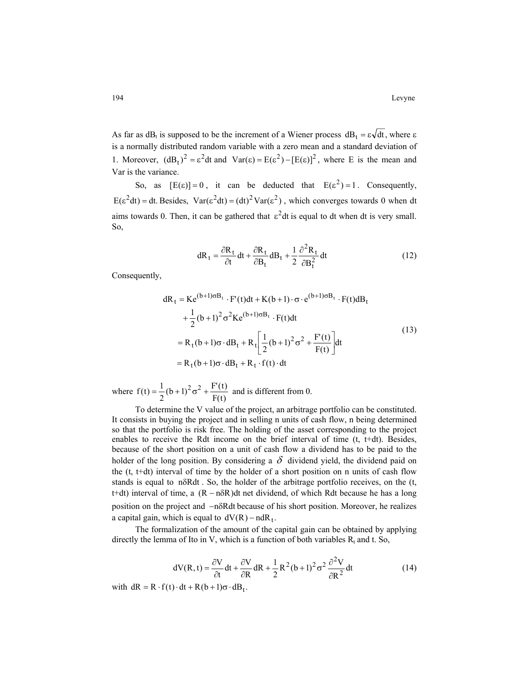As far as  $dB_t$  is supposed to be the increment of a Wiener process  $dB_t = \epsilon \sqrt{dt}$ , where  $\epsilon$ is a normally distributed random variable with a zero mean and a standard deviation of 1. Moreover,  $(dB_t)^2 = \varepsilon^2 dt$  and  $Var(\varepsilon) = E(\varepsilon^2) - [E(\varepsilon)]^2$ , where E is the mean and Var is the variance.

So, as  $[E(\varepsilon)] = 0$ , it can be deducted that  $E(\varepsilon^2) = 1$ . Consequently,  $E(\epsilon^2 dt) = dt$ . Besides,  $Var(\epsilon^2 dt) = (dt)^2 Var(\epsilon^2)$ , which converges towards 0 when dt aims towards 0. Then, it can be gathered that  $\varepsilon^2$ dt is equal to dt when dt is very small. So,

$$
dR_t = \frac{\partial R_t}{\partial t} dt + \frac{\partial R_t}{\partial B_t} dB_t + \frac{1}{2} \frac{\partial^2 R_t}{\partial B_t^2} dt
$$
 (12)

Consequently,

$$
dR_t = Ke^{(b+1)\sigma B_t} \cdot F'(t)dt + K(b+1) \cdot \sigma \cdot e^{(b+1)\sigma B_t} \cdot F(t)dB_t
$$
  
+ 
$$
\frac{1}{2}(b+1)^2 \sigma^2 Ke^{(b+1)\sigma B_t} \cdot F(t)dt
$$
  
= 
$$
R_t(b+1)\sigma \cdot dB_t + R_t \left[ \frac{1}{2}(b+1)^2 \sigma^2 + \frac{F'(t)}{F(t)} \right]dt
$$
  
= 
$$
R_t(b+1)\sigma \cdot dB_t + R_t \cdot f(t) \cdot dt
$$
 (13)

where  $f(t) = \frac{1}{2}(b+1)^2\sigma^2 + \frac{F'(t)}{F(t)}$  and is different from 0.

 To determine the V value of the project, an arbitrage portfolio can be constituted. It consists in buying the project and in selling n units of cash flow, n being determined so that the portfolio is risk free. The holding of the asset corresponding to the project enables to receive the Rdt income on the brief interval of time (t, t+dt). Besides, because of the short position on a unit of cash flow a dividend has to be paid to the holder of the long position. By considering a  $\delta$  dividend yield, the dividend paid on the  $(t, t+dt)$  interval of time by the holder of a short position on n units of cash flow stands is equal to  $n\delta Rdt$ . So, the holder of the arbitrage portfolio receives, on the  $(t,$ t+dt) interval of time, a  $(R - n\delta R)$ dt net dividend, of which Rdt because he has a long position on the project and −nδRdt because of his short position. Moreover, he realizes a capital gain, which is equal to  $dV(R) - ndR_t$ .

The formalization of the amount of the capital gain can be obtained by applying directly the lemma of Ito in V, which is a function of both variables  $R_t$  and t. So,

$$
dV(R, t) = \frac{\partial V}{\partial t} dt + \frac{\partial V}{\partial R} dR + \frac{1}{2} R^2 (b+1)^2 \sigma^2 \frac{\partial^2 V}{\partial R^2} dt
$$
 (14)

with  $dR = R \cdot f(t) \cdot dt + R(b+1)\sigma \cdot dB_t$ .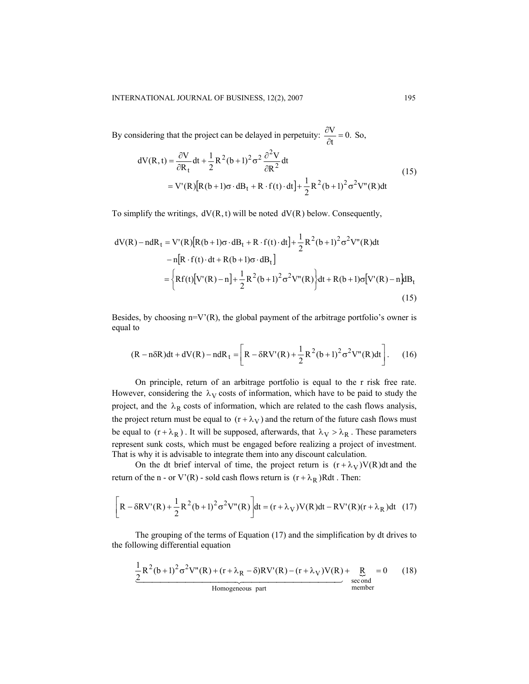By considering that the project can be delayed in perpetuity:  $\frac{\partial V}{\partial t} = 0$ . So, = V'(R)[R(b + 1)σ ⋅ dB<sub>t</sub> + R ⋅ f(t) ⋅ dt]+  $\frac{1}{2}$  R<sup>2</sup>(b + 1)<sup>2</sup> σ<sup>2</sup>V"(R)dt dt  $dV(R, t) = \frac{\partial V}{\partial R_t} dt + \frac{1}{2} R^2 (b+1)^2 \sigma^2 \frac{\partial^2 V}{\partial R^2}$  $^{2}(b+1)^{2}$  $^{2}$  $^{2}$ t 2 ∂  $=\frac{\partial V}{\partial R_1}dt + \frac{1}{2}R^2(b+1)^2\sigma^2\frac{\partial}{\partial R_1}$ (15)

To simplify the writings,  $dV(R, t)$  will be noted  $dV(R)$  below. Consequently,

$$
dV(R) - ndR_t = V'(R)[R(b+1)\sigma \cdot dB_t + R \cdot f(t) \cdot dt] + \frac{1}{2}R^2(b+1)^2\sigma^2 V''(R)dt
$$
  
- n[R \cdot f(t) \cdot dt + R(b+1)\sigma \cdot dB\_t]  
= {Rf(t)[V'(R) - n] +  $\frac{1}{2}R^2(b+1)^2\sigma^2 V''(R)$  }dt + R(b+1)\sigma[V'(R) - n]dB\_t (15)

Besides, by choosing  $n=V'(R)$ , the global payment of the arbitrage portfolio's owner is equal to

$$
(R - n\delta R)dt + dV(R) - ndR_t = \left[R - \delta RV'(R) + \frac{1}{2}R^2(b+1)^2\sigma^2V''(R)dt\right].
$$
 (16)

On principle, return of an arbitrage portfolio is equal to the r risk free rate. However, considering the  $\lambda_V$  costs of information, which have to be paid to study the project, and the  $\lambda_R$  costs of information, which are related to the cash flows analysis, the project return must be equal to  $(r + \lambda_V)$  and the return of the future cash flows must be equal to  $(r + \lambda_R)$ . It will be supposed, afterwards, that  $\lambda_V > \lambda_R$ . These parameters represent sunk costs, which must be engaged before realizing a project of investment. That is why it is advisable to integrate them into any discount calculation.

On the dt brief interval of time, the project return is  $(r + \lambda_V) V(R) dt$  and the return of the n - or V'(R) - sold cash flows return is  $(r + \lambda_R)Rdt$ . Then:

$$
\left[R - \delta RV^{r}(R) + \frac{1}{2}R^{2}(b+1)^{2}\sigma^{2}V^{r}(R)\right]dt = (r + \lambda_{V})V(R)dt - RV^{r}(R)(r + \lambda_{R})dt
$$
 (17)

The grouping of the terms of Equation (17) and the simplification by dt drives to the following differential equation

$$
\underbrace{\frac{1}{2}R^{2}(b+1)^{2}\sigma^{2}V''(R)+(r+\lambda_{R}-\delta)RV'(R)-(r+\lambda_{V})V(R)}_{\text{Homogeneous part}}+\underbrace{R}_{\text{second}}=0\qquad(18)
$$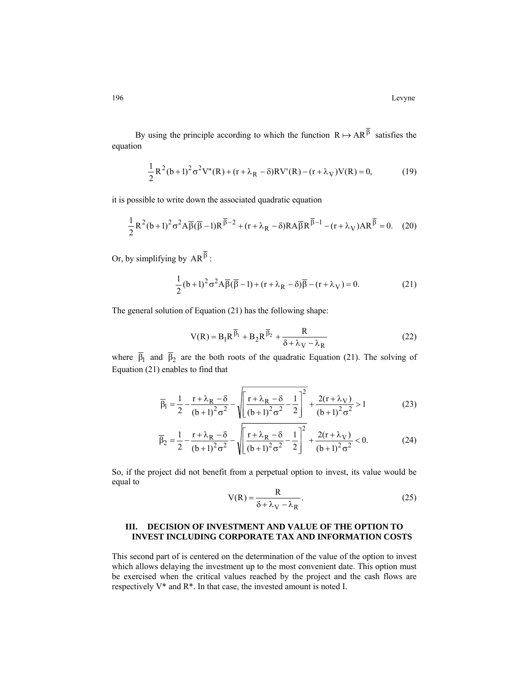By using the principle according to which the function  $R \mapsto AR^{\overline{\beta}}$  satisfies the equation

$$
\frac{1}{2}R^{2}(b+1)^{2}\sigma^{2}V''(R) + (r+\lambda_{R}-\delta)RV'(R) - (r+\lambda_{V})V(R) = 0,
$$
\n(19)

it is possible to write down the associated quadratic equation

$$
\frac{1}{2}R^2(b+1)^2\sigma^2A\overline{\beta}(\overline{\beta}-1)R^{\overline{\beta}-2} + (r+\lambda_R-\delta)RA\overline{\beta}R^{\overline{\beta}-1} - (r+\lambda_V)AR^{\overline{\beta}} = 0. \quad (20)
$$

Or, by simplifying by  $AR^{\overline{\beta}}$ :

$$
\frac{1}{2}(b+1)^2\sigma^2A\overline{\beta}(\overline{\beta}-1) + (r+\lambda_R-\delta)\overline{\beta} - (r+\lambda_V) = 0.
$$
 (21)

The general solution of Equation (21) has the following shape:

$$
V(R) = B_1 R^{\overline{\beta}_1} + B_2 R^{\overline{\beta}_2} + \frac{R}{\delta + \lambda_V - \lambda_R}
$$
 (22)

where  $\overline{\beta}_1$  and  $\overline{\beta}_2$  are the both roots of the quadratic Equation (21). The solving of Equation (21) enables to find that

$$
\overline{\beta}_1 = \frac{1}{2} - \frac{r + \lambda_R - \delta}{(b+1)^2 \sigma^2} - \sqrt{\left[ \frac{r + \lambda_R - \delta}{(b+1)^2 \sigma^2} - \frac{1}{2} \right]^2 + \frac{2(r + \lambda_V)}{(b+1)^2 \sigma^2}} > 1
$$
\n(23)

$$
\overline{\beta}_2 = \frac{1}{2} - \frac{r + \lambda_R - \delta}{(b+1)^2 \sigma^2} - \sqrt{\left[ \frac{r + \lambda_R - \delta}{(b+1)^2 \sigma^2} - \frac{1}{2} \right]^2 + \frac{2(r + \lambda_V)}{(b+1)^2 \sigma^2}} < 0.
$$
 (24)

So, if the project did not benefit from a perpetual option to invest, its value would be equal to

$$
V(R) = \frac{R}{\delta + \lambda_V - \lambda_R}.
$$
 (25)

## **III. DECISION OF INVESTMENT AND VALUE OF THE OPTION TO INVEST INCLUDING CORPORATE TAX AND INFORMATION COSTS**

This second part of is centered on the determination of the value of the option to invest which allows delaying the investment up to the most convenient date. This option must be exercised when the critical values reached by the project and the cash flows are respectively V\* and R\*. In that case, the invested amount is noted I.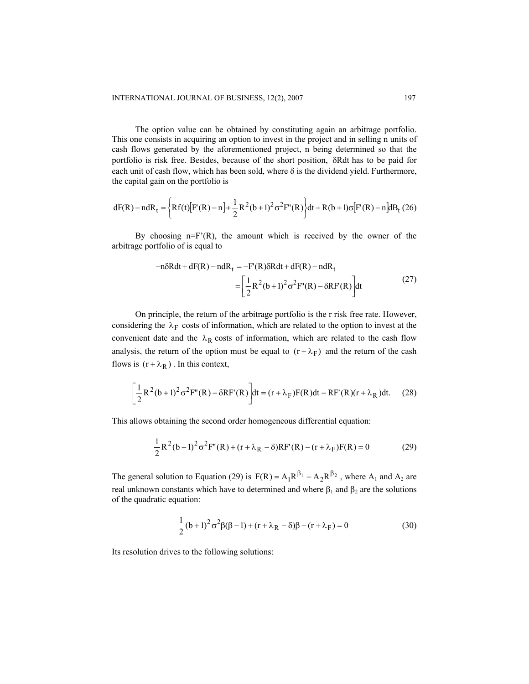The option value can be obtained by constituting again an arbitrage portfolio. This one consists in acquiring an option to invest in the project and in selling n units of cash flows generated by the aforementioned project, n being determined so that the portfolio is risk free. Besides, because of the short position, δRdt has to be paid for each unit of cash flow, which has been sold, where  $\delta$  is the dividend yield. Furthermore, the capital gain on the portfolio is

$$
dF(R) - n dR_t = \left\{ Rf(t)[F'(R) - n] + \frac{1}{2}R^2(b+1)^2 \sigma^2 F''(R) \right\} dt + R(b+1)\sigma[F'(R) - n] dB_t (26)
$$

By choosing  $n = F'(R)$ , the amount which is received by the owner of the arbitrage portfolio of is equal to

$$
-n\delta Rdt + dF(R) - n dR_t = -F'(R)\delta Rdt + dF(R) - n dR_t
$$

$$
= \left[\frac{1}{2}R^2(b+1)^2\sigma^2F''(R) - \delta RF'(R)\right]dt
$$
(27)

On principle, the return of the arbitrage portfolio is the r risk free rate. However, considering the  $\lambda_F$  costs of information, which are related to the option to invest at the convenient date and the  $\lambda_R$  costs of information, which are related to the cash flow analysis, the return of the option must be equal to  $(r + \lambda_F)$  and the return of the cash flows is  $(r + \lambda_R)$ . In this context,

$$
\left[\frac{1}{2}R^{2}(b+1)^{2}\sigma^{2}F''(R) - \delta RF'(R)\right]dt = (r + \lambda_{F})F(R)dt - RF'(R)(r + \lambda_{R})dt.
$$
 (28)

This allows obtaining the second order homogeneous differential equation:

$$
\frac{1}{2}R^{2}(b+1)^{2}\sigma^{2}F''(R) + (r + \lambda_{R} - \delta)RF'(R) - (r + \lambda_{F})F(R) = 0
$$
\n(29)

The general solution to Equation (29) is  $F(R) = A_1 R^{\beta_1} + A_2 R^{\beta_2}$ , where  $A_1$  and  $A_2$  are real unknown constants which have to determined and where  $β_1$  and  $β_2$  are the solutions of the quadratic equation:

$$
\frac{1}{2}(b+1)^{2}\sigma^{2}\beta(\beta-1)+(r+\lambda_{R}-\delta)\beta-(r+\lambda_{F})=0
$$
\n(30)

Its resolution drives to the following solutions: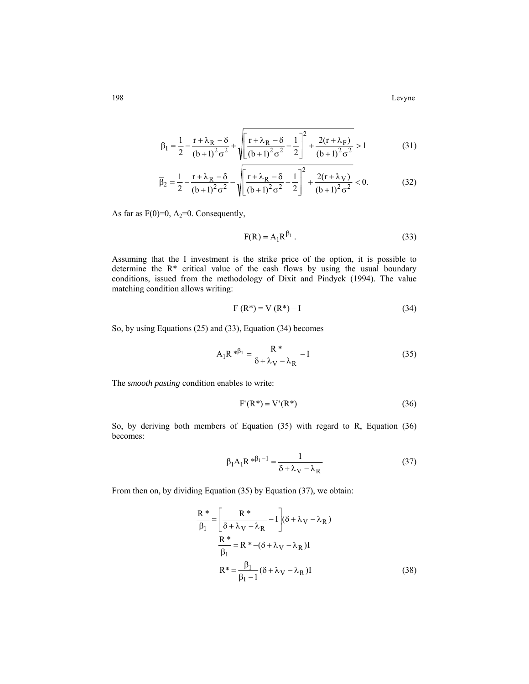$$
\beta_1 = \frac{1}{2} - \frac{r + \lambda_R - \delta}{(b+1)^2 \sigma^2} + \sqrt{\left[ \frac{r + \lambda_R - \delta}{(b+1)^2 \sigma^2} - \frac{1}{2} \right]^2 + \frac{2(r + \lambda_F)}{(b+1)^2 \sigma^2}} > 1
$$
(31)

$$
\overline{\beta}_2 = \frac{1}{2} - \frac{r + \lambda_R - \delta}{(b+1)^2 \sigma^2} - \sqrt{\left[ \frac{r + \lambda_R - \delta}{(b+1)^2 \sigma^2} - \frac{1}{2} \right]^2 + \frac{2(r + \lambda_V)}{(b+1)^2 \sigma^2}} < 0.
$$
 (32)

As far as  $F(0)=0$ ,  $A_2=0$ . Consequently,

$$
F(R) = A_1 R^{\beta_1} \tag{33}
$$

Assuming that the I investment is the strike price of the option, it is possible to determine the R\* critical value of the cash flows by using the usual boundary conditions, issued from the methodology of Dixit and Pindyck (1994). The value matching condition allows writing:

$$
F(R^*) = V(R^*) - I \tag{34}
$$

So, by using Equations (25) and (33), Equation (34) becomes

$$
A_1 R *^{\beta_1} = \frac{R *}{\delta + \lambda_V - \lambda_R} - I
$$
 (35)

The *smooth pasting* condition enables to write:

$$
F'(R^*) = V'(R^*)\tag{36}
$$

So, by deriving both members of Equation (35) with regard to R, Equation (36) becomes:

$$
\beta_1 A_1 R \sqrt[*]{\beta_1 - 1} = \frac{1}{\delta + \lambda_V - \lambda_R} \tag{37}
$$

From then on, by dividing Equation (35) by Equation (37), we obtain:

$$
\frac{R^*}{\beta_1} = \left[\frac{R^*}{\delta + \lambda_V - \lambda_R} - I\right](\delta + \lambda_V - \lambda_R)
$$
  

$$
\frac{R^*}{\beta_1} = R^* - (\delta + \lambda_V - \lambda_R)I
$$
  

$$
R^* = \frac{\beta_1}{\beta_1 - I} (\delta + \lambda_V - \lambda_R)I
$$
 (38)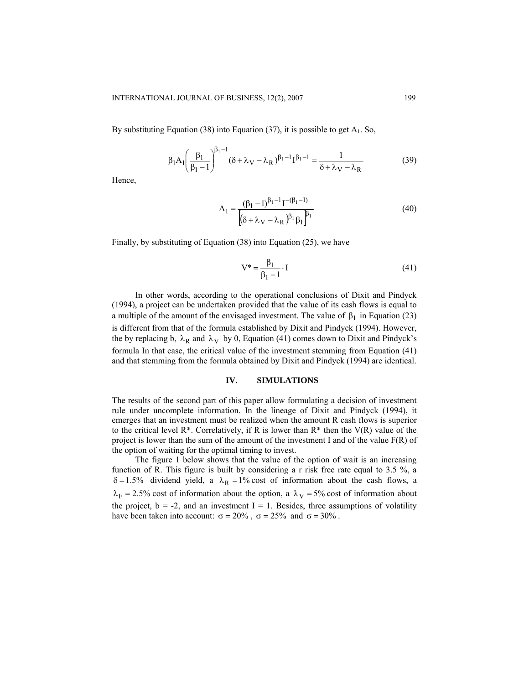By substituting Equation (38) into Equation (37), it is possible to get  $A_1$ . So,

$$
\beta_1 A_1 \left( \frac{\beta_1}{\beta_1 - 1} \right)^{\beta_1 - 1} (\delta + \lambda_V - \lambda_R)^{\beta_1 - 1} I^{\beta_1 - 1} = \frac{1}{\delta + \lambda_V - \lambda_R}
$$
(39)

Hence,

$$
A_{1} = \frac{(\beta_{1} - 1)^{\beta_{1} - 1} I^{-(\beta_{1} - 1)}}{[(\delta + \lambda_{V} - \lambda_{R})^{\beta_{1}} \beta_{1}]^{\beta_{1}}}
$$
(40)

Finally, by substituting of Equation (38) into Equation (25), we have

$$
V^* = \frac{\beta_1}{\beta_1 - 1} \cdot I \tag{41}
$$

In other words, according to the operational conclusions of Dixit and Pindyck (1994), a project can be undertaken provided that the value of its cash flows is equal to a multiple of the amount of the envisaged investment. The value of  $\beta_1$  in Equation (23) is different from that of the formula established by Dixit and Pindyck (1994). However, the by replacing b,  $\lambda_R$  and  $\lambda_V$  by 0, Equation (41) comes down to Dixit and Pindyck's formula In that case, the critical value of the investment stemming from Equation (41) and that stemming from the formula obtained by Dixit and Pindyck (1994) are identical.

### **IV. SIMULATIONS**

The results of the second part of this paper allow formulating a decision of investment rule under uncomplete information. In the lineage of Dixit and Pindyck (1994), it emerges that an investment must be realized when the amount R cash flows is superior to the critical level  $R^*$ . Correlatively, if R is lower than  $R^*$  then the V(R) value of the project is lower than the sum of the amount of the investment I and of the value F(R) of the option of waiting for the optimal timing to invest.

The figure 1 below shows that the value of the option of wait is an increasing function of R. This figure is built by considering a r risk free rate equal to 3.5 %, a  $\delta = 1.5\%$  dividend yield, a  $\lambda_R = 1\%$  cost of information about the cash flows, a  $\lambda_F = 2.5\%$  cost of information about the option, a  $\lambda_V = 5\%$  cost of information about the project,  $b = -2$ , and an investment  $I = 1$ . Besides, three assumptions of volatility have been taken into account:  $\sigma = 20\%$ ,  $\sigma = 25\%$  and  $\sigma = 30\%$ .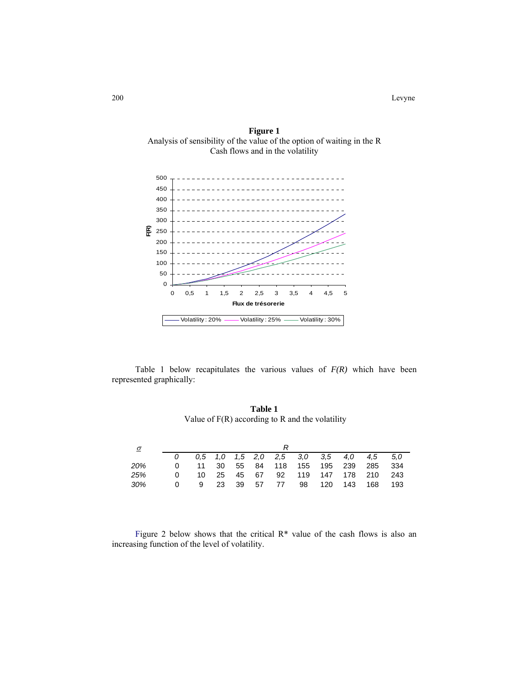

**Figure 1**  Analysis of sensibility of the value of the option of waiting in the R

Table 1 below recapitulates the various values of *F(R)* which have been represented graphically:

**Table 1**  Value of F(R) according to R and the volatility

| $\sigma$   |  |     |  |  |             |  |    |     |                                                       |     |      |  |  |
|------------|--|-----|--|--|-------------|--|----|-----|-------------------------------------------------------|-----|------|--|--|
|            |  |     |  |  |             |  |    |     | $0.5$ $1.0$ $1.5$ $2.0$ $2.5$ $3.0$ $3.5$ $4.0$ $4.5$ |     | -5.0 |  |  |
| 20%        |  |     |  |  |             |  |    |     | 11 30 55 84 118 155 195 239 285                       |     | -334 |  |  |
| 25%        |  | 10. |  |  | 25 45 67    |  |    |     | 92 119 147 178 210                                    |     | -243 |  |  |
| <b>30%</b> |  | 9   |  |  | 23 39 57 77 |  | 98 | 120 | 143                                                   | 168 | 193  |  |  |

 Figure 2 below shows that the critical R\* value of the cash flows is also an increasing function of the level of volatility.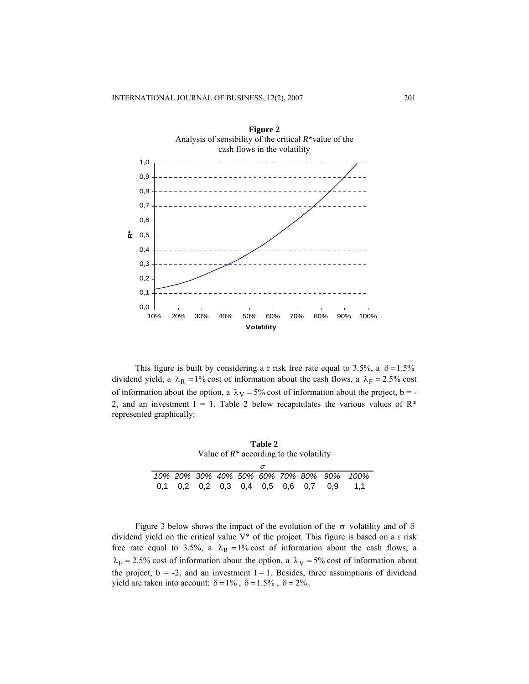

This figure is built by considering a r risk free rate equal to 3.5%, a  $\delta = 1.5\%$ dividend yield, a  $\lambda_R = 1\%$  cost of information about the cash flows, a  $\lambda_F = 2.5\%$  cost of information about the option, a  $\lambda_V = 5\%$  cost of information about the project, b = -2, and an investment I = 1. Table 2 below recapitulates the various values of  $R^*$ represented graphically:

|  |  | Table 2 |                                                       |                                          |     |
|--|--|---------|-------------------------------------------------------|------------------------------------------|-----|
|  |  |         | Value of $R^*$ according to the volatility            |                                          |     |
|  |  |         |                                                       |                                          |     |
|  |  |         |                                                       | 10% 20% 30% 40% 50% 60% 70% 80% 90% 100% |     |
|  |  |         | $0,1$ $0,2$ $0,2$ $0,3$ $0,4$ $0,5$ $0,6$ $0,7$ $0,9$ |                                          | 1.1 |

Figure 3 below shows the impact of the evolution of the  $\sigma$  volatility and of  $\delta$ dividend yield on the critical value V\* of the project. This figure is based on a r risk free rate equal to 3.5%, a  $\lambda_R = 1\%$  cost of information about the cash flows, a  $\lambda_F = 2.5\%$  cost of information about the option, a  $\lambda_V = 5\%$  cost of information about the project,  $b = -2$ , and an investment  $I = 1$ . Besides, three assumptions of dividend yield are taken into account:  $\delta = 1\%$ ,  $\delta = 1.5\%$ ,  $\delta = 2\%$ .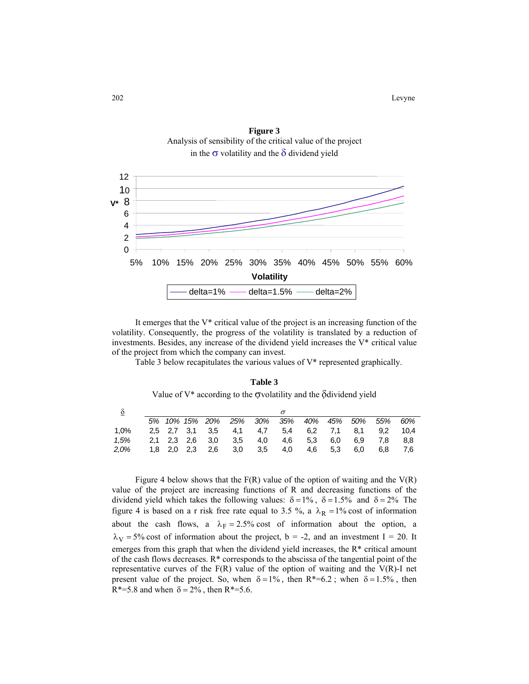

**Figure 3**  Analysis of sensibility of the critical value of the project

It emerges that the V\* critical value of the project is an increasing function of the volatility. Consequently, the progress of the volatility is translated by a reduction of investments. Besides, any increase of the dividend yield increases the V\* critical value of the project from which the company can invest.

Table 3 below recapitulates the various values of V\* represented graphically.

| $\delta$ |  |                 |                                                |         | $\sigma$ |         |         |     |     |      |
|----------|--|-----------------|------------------------------------------------|---------|----------|---------|---------|-----|-----|------|
|          |  |                 | 5% 10% 15% 20% 25% 30% 35% 40% 45% 50% 55% 60% |         |          |         |         |     |     |      |
| 1.0%     |  |                 | 2.5 2.7 3.1 3.5 4.1 4.7                        |         | 5.4      |         | 6.2 7.1 | 8.1 | 9.2 | 10.4 |
| 1.5%     |  |                 | 2,1 2,3 2,6 3,0 3,5 4,0                        |         |          | 4,6 5,3 | 6.0     | 6.9 | 7.8 | 8.8  |
| 2.0%     |  | 1.8 2.0 2.3 2.6 | 3.0                                            | 3,5 4,0 |          | 4,6     | 5.3     | 6.0 | 6.8 | 7.6  |

**Table 3**  Value of V\* according to the σvolatility and the δdividend yield

Figure 4 below shows that the  $F(R)$  value of the option of waiting and the  $V(R)$ value of the project are increasing functions of R and decreasing functions of the dividend yield which takes the following values:  $\delta = 1\%$ ,  $\delta = 1.5\%$  and  $\delta = 2\%$  The figure 4 is based on a r risk free rate equal to 3.5 %, a  $\lambda_R = 1\%$  cost of information about the cash flows, a  $\lambda_F = 2.5\%$  cost of information about the option, a  $\lambda_V = 5\%$  cost of information about the project, b = -2, and an investment I = 20. It emerges from this graph that when the dividend yield increases, the  $R^*$  critical amount of the cash flows decreases.  $R^*$  corresponds to the abscissa of the tangential point of the representative curves of the  $F(R)$  value of the option of waiting and the V(R)-I net present value of the project. So, when  $\delta = 1\%$ , then  $R^*=6.2$ ; when  $\delta = 1.5\%$ , then R\*=5.8 and when  $\delta = 2\%$ , then R\*=5.6.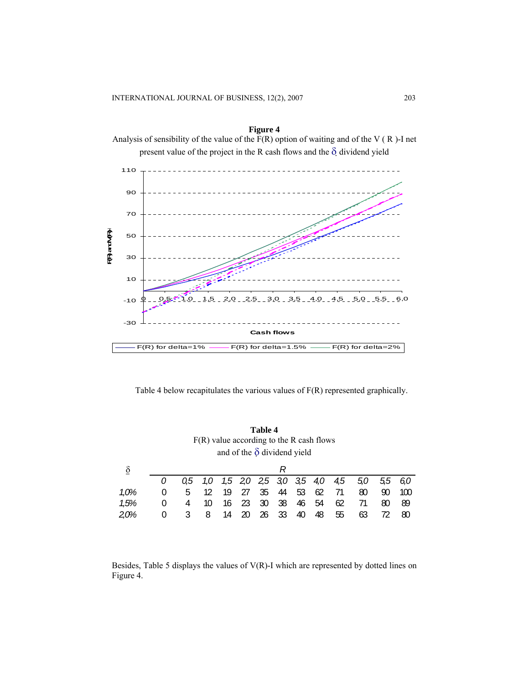

Table 4 below recapitulates the various values of F(R) represented graphically.

|              |     |     |    |    |    | R  |    |    |                                                               |                                            |    |         |
|--------------|-----|-----|----|----|----|----|----|----|---------------------------------------------------------------|--------------------------------------------|----|---------|
|              | 0.5 | 1.0 |    |    |    |    |    |    | 4,5                                                           | 50                                         |    | 55 60   |
| $\mathbf{0}$ | 5.  | 12  | 19 | 27 | 35 | 44 | 53 | 62 | 71                                                            | 80                                         | 90 | $100 -$ |
|              | 4   | 10  | 16 | 23 | 30 | 38 | 46 | 54 | 62                                                            | 71                                         | 80 | 89      |
|              | 3   | 8   | 14 | 20 | 26 | 33 | 40 | 48 | 55                                                            | 63                                         |    | 80      |
|              |     |     |    |    |    |    |    |    | and of the $\delta$ dividend yield<br>1,5 2,0 2,5 3,0 3,5 4,0 | $F(R)$ value according to the R cash flows |    |         |

**Table 4** 

Besides, Table 5 displays the values of V(R)-I which are represented by dotted lines on Figure 4.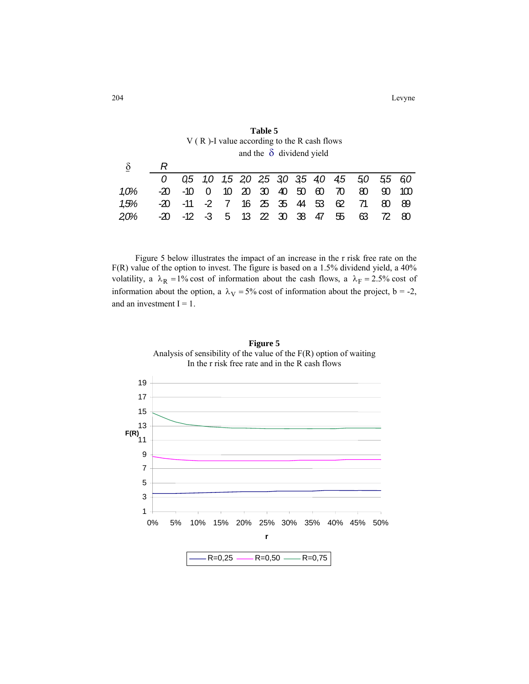|            | and the $\delta$ dividend yield |                |   |  |                   |  |  |                |          |                                       |                 |     |
|------------|---------------------------------|----------------|---|--|-------------------|--|--|----------------|----------|---------------------------------------|-----------------|-----|
| δ          |                                 |                |   |  |                   |  |  |                |          |                                       |                 |     |
|            |                                 |                |   |  |                   |  |  |                |          | 05 1,0 1,5 20 25 30 35 40 45 50 55 60 |                 |     |
| 1.0%       | $-20 - 10$                      | $\overline{0}$ |   |  | 10 20 30 40 50 60 |  |  |                | $\infty$ | 80                                    | <u>ရက</u>       | 1M) |
| 1.5%       | -20 -11 -2 7                    |                |   |  |                   |  |  | 16 25 35 44 53 | 62       | 71                                    | 80              | -89 |
| <b>20%</b> | $-20$ $-12$ $-3$                |                | 5 |  | 13 22 30 38       |  |  | 47             | 55       | ങ                                     | 72 <sup>7</sup> | -80 |

**Table 5**  V ( R )-I value according to the R cash flows

Figure 5 below illustrates the impact of an increase in the r risk free rate on the F(R) value of the option to invest. The figure is based on a 1.5% dividend yield, a 40% volatility, a  $\lambda_R = 1\%$  cost of information about the cash flows, a  $\lambda_F = 2.5\%$  cost of information about the option, a  $\lambda_V = 5\%$  cost of information about the project, b = -2, and an investment  $I = 1$ .



**Figure 5**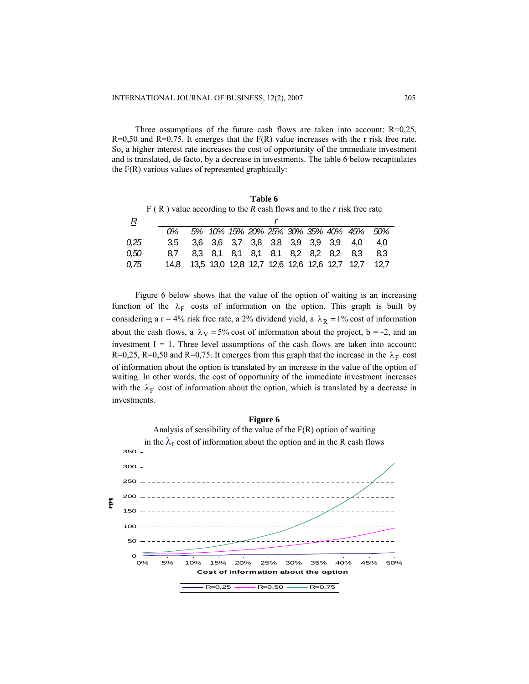Three assumptions of the future cash flows are taken into account: R=0,25,  $R=0,50$  and  $R=0,75$ . It emerges that the  $F(R)$  value increases with the r risk free rate. So, a higher interest rate increases the cost of opportunity of the immediate investment and is translated, de facto, by a decrease in investments. The table 6 below recapitulates the  $F(R)$  various values of represented graphically:

|      | $F(R)$ value according to the R cash flows and to the r risk free rate |                                 | Table 6 |  |                                              |                                    |      |
|------|------------------------------------------------------------------------|---------------------------------|---------|--|----------------------------------------------|------------------------------------|------|
| R    |                                                                        |                                 |         |  |                                              |                                    |      |
|      | 0%                                                                     |                                 |         |  |                                              | 5% 10% 15% 20% 25% 30% 35% 40% 45% | .50% |
| 0,25 | 3.5                                                                    | 3,6 3,6 3,7 3,8 3,8 3,9 3,9 3,9 |         |  |                                              | 4.0                                | 4.0  |
| 0.50 | 8.7                                                                    | 8,3 8,1 8,1 8,1 8,1 8,2 8,2 8,2 |         |  |                                              | 8.3                                | 8.3  |
| 0.75 | 14.8                                                                   |                                 |         |  | 13,5 13,0 12,8 12,7 12,6 12,6 12,6 12,7 12,7 |                                    | 12.7 |

Figure 6 below shows that the value of the option of waiting is an increasing function of the  $\lambda_F$  costs of information on the option. This graph is built by considering a r = 4% risk free rate, a 2% dividend yield, a  $\lambda_R = 1\%$  cost of information about the cash flows, a  $\lambda_V = 5\%$  cost of information about the project, b = -2, and an investment  $I = 1$ . Three level assumptions of the cash flows are taken into account: R=0,25, R=0,50 and R=0,75. It emerges from this graph that the increase in the  $\lambda_F$  cost of information about the option is translated by an increase in the value of the option of waiting. In other words, the cost of opportunity of the immediate investment increases with the  $\lambda_F$  cost of information about the option, which is translated by a decrease in investments.

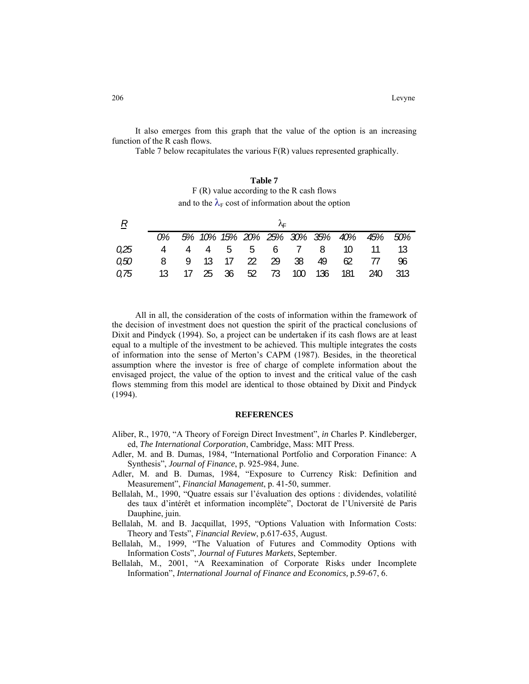It also emerges from this graph that the value of the option is an increasing function of the R cash flows.

Table 7 below recapitulates the various F(R) values represented graphically.

| Table 7                                                     |
|-------------------------------------------------------------|
| $F(R)$ value according to the R cash flows                  |
| and to the $\lambda_F$ cost of information about the option |

| $\overline{R}$ |       |  |  |  |  |                  |  |                               |       |                                        |     |  |  |  |
|----------------|-------|--|--|--|--|------------------|--|-------------------------------|-------|----------------------------------------|-----|--|--|--|
|                | $O\%$ |  |  |  |  |                  |  |                               |       | 5% 10% 15% 20% 25% 30% 35% 40% 45% 50% |     |  |  |  |
| 0.25           |       |  |  |  |  |                  |  |                               |       | 4 4 4 5 5 6 7 8 10 11                  | -13 |  |  |  |
| 0.50           | 8     |  |  |  |  | 9 13 17 22 29 38 |  | 49                            | 62 77 |                                        | ୍ରନ |  |  |  |
| 0.75           |       |  |  |  |  |                  |  | 13 17 25 36 52 73 100 136 181 |       | 240 313                                |     |  |  |  |

All in all, the consideration of the costs of information within the framework of the decision of investment does not question the spirit of the practical conclusions of Dixit and Pindyck (1994). So, a project can be undertaken if its cash flows are at least equal to a multiple of the investment to be achieved. This multiple integrates the costs of information into the sense of Merton's CAPM (1987). Besides, in the theoretical assumption where the investor is free of charge of complete information about the envisaged project, the value of the option to invest and the critical value of the cash flows stemming from this model are identical to those obtained by Dixit and Pindyck (1994).

#### **REFERENCES**

- Aliber, R., 1970, "A Theory of Foreign Direct Investment", *in* Charles P. Kindleberger, ed, *The International Corporation*, Cambridge, Mass: MIT Press.
- Adler, M. and B. Dumas, 1984, "International Portfolio and Corporation Finance: A Synthesis", *Journal of Finance*, p. 925-984, June.
- Adler, M. and B. Dumas, 1984, "Exposure to Currency Risk: Definition and Measurement", *Financial Management*, p. 41-50, summer.
- Bellalah, M., 1990, "Quatre essais sur l'évaluation des options : dividendes, volatilité des taux d'intérêt et information incomplète", Doctorat de l'Université de Paris Dauphine, juin.
- Bellalah, M. and B. Jacquillat, 1995, "Options Valuation with Information Costs: Theory and Tests", *Financial Review*, p.617-635, August.
- Bellalah, M., 1999, "The Valuation of Futures and Commodity Options with Information Costs", *Journal of Futures Markets*, September.
- Bellalah, M., 2001, "A Reexamination of Corporate Risks under Incomplete Information", *International Journal of Finance and Economics,* p.59-67, 6.